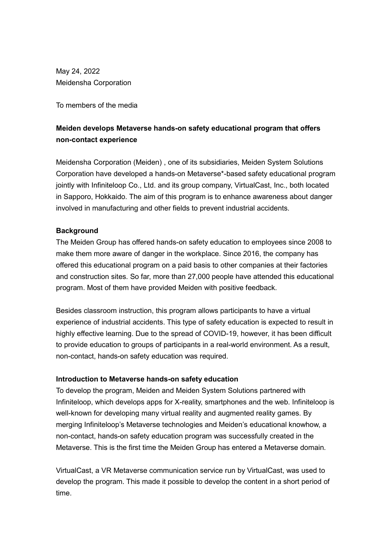May 24, 2022 Meidensha Corporation

To members of the media

## Meiden develops Metaverse hands-on safety educational program that offers non-contact experience

Meidensha Corporation (Meiden) , one of its subsidiaries, Meiden System Solutions Corporation have developed a hands-on Metaverse\*-based safety educational program jointly with Infiniteloop Co., Ltd. and its group company, VirtualCast, Inc., both located in Sapporo, Hokkaido. The aim of this program is to enhance awareness about danger involved in manufacturing and other fields to prevent industrial accidents.

## **Background**

The Meiden Group has offered hands-on safety education to employees since 2008 to make them more aware of danger in the workplace. Since 2016, the company has offered this educational program on a paid basis to other companies at their factories and construction sites. So far, more than 27,000 people have attended this educational program. Most of them have provided Meiden with positive feedback.

Besides classroom instruction, this program allows participants to have a virtual experience of industrial accidents. This type of safety education is expected to result in highly effective learning. Due to the spread of COVID-19, however, it has been difficult to provide education to groups of participants in a real-world environment. As a result, non-contact, hands-on safety education was required.

## Introduction to Metaverse hands-on safety education

To develop the program, Meiden and Meiden System Solutions partnered with Infiniteloop, which develops apps for X-reality, smartphones and the web. Infiniteloop is well-known for developing many virtual reality and augmented reality games. By merging Infiniteloop's Metaverse technologies and Meiden's educational knowhow, a non-contact, hands-on safety education program was successfully created in the Metaverse. This is the first time the Meiden Group has entered a Metaverse domain.

VirtualCast, a VR Metaverse communication service run by VirtualCast, was used to develop the program. This made it possible to develop the content in a short period of time.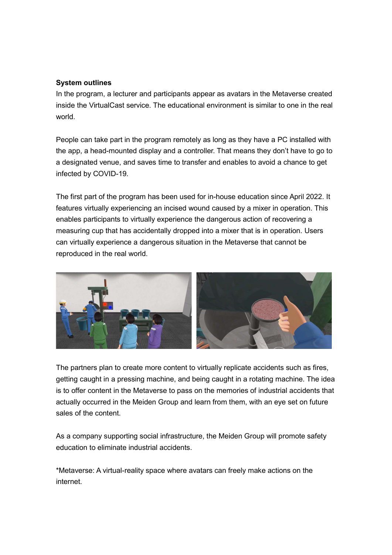## System outlines

In the program, a lecturer and participants appear as avatars in the Metaverse created inside the VirtualCast service. The educational environment is similar to one in the real world.

People can take part in the program remotely as long as they have a PC installed with the app, a head-mounted display and a controller. That means they don't have to go to a designated venue, and saves time to transfer and enables to avoid a chance to get infected by COVID-19.

The first part of the program has been used for in-house education since April 2022. It features virtually experiencing an incised wound caused by a mixer in operation. This enables participants to virtually experience the dangerous action of recovering a measuring cup that has accidentally dropped into a mixer that is in operation. Users can virtually experience a dangerous situation in the Metaverse that cannot be reproduced in the real world.



The partners plan to create more content to virtually replicate accidents such as fires, getting caught in a pressing machine, and being caught in a rotating machine. The idea is to offer content in the Metaverse to pass on the memories of industrial accidents that actually occurred in the Meiden Group and learn from them, with an eye set on future sales of the content.

As a company supporting social infrastructure, the Meiden Group will promote safety education to eliminate industrial accidents.

\*Metaverse: A virtual-reality space where avatars can freely make actions on the internet.